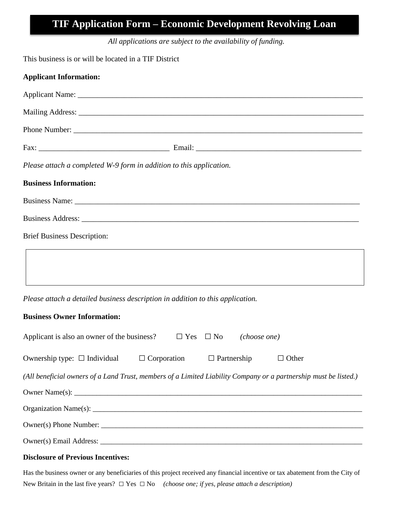# **TIF Application Form – Economic Development Revolving Loan**

*All applications are subject to the availability of funding.*

This business is or will be located in a TIF District

| <b>Applicant Information:</b>                                                              |                                                                                                                                                                                                                                |
|--------------------------------------------------------------------------------------------|--------------------------------------------------------------------------------------------------------------------------------------------------------------------------------------------------------------------------------|
|                                                                                            |                                                                                                                                                                                                                                |
|                                                                                            |                                                                                                                                                                                                                                |
|                                                                                            |                                                                                                                                                                                                                                |
|                                                                                            |                                                                                                                                                                                                                                |
| Please attach a completed W-9 form in addition to this application.                        |                                                                                                                                                                                                                                |
| <b>Business Information:</b>                                                               |                                                                                                                                                                                                                                |
|                                                                                            | Business Name: Name: Name: Name: Name: Name: Name: Name: Name: Name: Name: Name: Name: Name: Name: Name: Name: Name: Name: Name: Name: Name: Name: Name: Name: Name: Name: Name: Name: Name: Name: Name: Name: Name: Name: Nam |
|                                                                                            |                                                                                                                                                                                                                                |
| <b>Brief Business Description:</b>                                                         |                                                                                                                                                                                                                                |
|                                                                                            |                                                                                                                                                                                                                                |
| Please attach a detailed business description in addition to this application.             |                                                                                                                                                                                                                                |
| <b>Business Owner Information:</b>                                                         |                                                                                                                                                                                                                                |
| Applicant is also an owner of the business? $\square$ Yes $\square$ No <i>(choose one)</i> |                                                                                                                                                                                                                                |
| Ownership type: □ Individual □ Corporation □ Partnership □ Other                           |                                                                                                                                                                                                                                |
|                                                                                            | (All beneficial owners of a Land Trust, members of a Limited Liability Company or a partnership must be listed.)                                                                                                               |
|                                                                                            |                                                                                                                                                                                                                                |
|                                                                                            |                                                                                                                                                                                                                                |
|                                                                                            | Owner(s) Phone Number:                                                                                                                                                                                                         |
|                                                                                            |                                                                                                                                                                                                                                |
| <b>Disclosure of Previous Incentives:</b>                                                  |                                                                                                                                                                                                                                |

Has the business owner or any beneficiaries of this project received any financial incentive or tax abatement from the City of New Britain in the last five years? □ Yes □ No *(choose one; if yes, please attach a description)*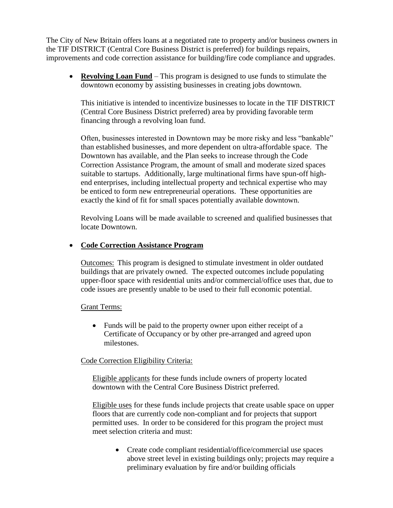The City of New Britain offers loans at a negotiated rate to property and/or business owners in the TIF DISTRICT (Central Core Business District is preferred) for buildings repairs, improvements and code correction assistance for building/fire code compliance and upgrades.

**Revolving Loan Fund** – This program is designed to use funds to stimulate the downtown economy by assisting businesses in creating jobs downtown.

This initiative is intended to incentivize businesses to locate in the TIF DISTRICT (Central Core Business District preferred) area by providing favorable term financing through a revolving loan fund.

Often, businesses interested in Downtown may be more risky and less "bankable" than established businesses, and more dependent on ultra-affordable space. The Downtown has available, and the Plan seeks to increase through the Code Correction Assistance Program, the amount of small and moderate sized spaces suitable to startups. Additionally, large multinational firms have spun-off highend enterprises, including intellectual property and technical expertise who may be enticed to form new entrepreneurial operations. These opportunities are exactly the kind of fit for small spaces potentially available downtown.

Revolving Loans will be made available to screened and qualified businesses that locate Downtown.

## **Code Correction Assistance Program**

Outcomes: This program is designed to stimulate investment in older outdated buildings that are privately owned. The expected outcomes include populating upper-floor space with residential units and/or commercial/office uses that, due to code issues are presently unable to be used to their full economic potential.

### Grant Terms:

• Funds will be paid to the property owner upon either receipt of a Certificate of Occupancy or by other pre-arranged and agreed upon milestones.

### Code Correction Eligibility Criteria:

Eligible applicants for these funds include owners of property located downtown with the Central Core Business District preferred.

Eligible uses for these funds include projects that create usable space on upper floors that are currently code non-compliant and for projects that support permitted uses. In order to be considered for this program the project must meet selection criteria and must:

• Create code compliant residential/office/commercial use spaces above street level in existing buildings only; projects may require a preliminary evaluation by fire and/or building officials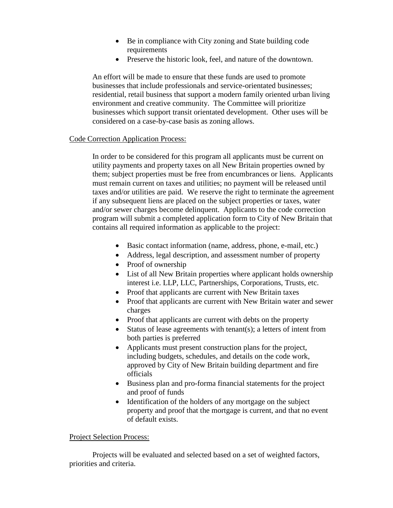- Be in compliance with City zoning and State building code requirements
- Preserve the historic look, feel, and nature of the downtown.

An effort will be made to ensure that these funds are used to promote businesses that include professionals and service-orientated businesses; residential, retail business that support a modern family oriented urban living environment and creative community. The Committee will prioritize businesses which support transit orientated development. Other uses will be considered on a case-by-case basis as zoning allows.

### Code Correction Application Process:

In order to be considered for this program all applicants must be current on utility payments and property taxes on all New Britain properties owned by them; subject properties must be free from encumbrances or liens. Applicants must remain current on taxes and utilities; no payment will be released until taxes and/or utilities are paid. We reserve the right to terminate the agreement if any subsequent liens are placed on the subject properties or taxes, water and/or sewer charges become delinquent. Applicants to the code correction program will submit a completed application form to City of New Britain that contains all required information as applicable to the project:

- Basic contact information (name, address, phone, e-mail, etc.)
- Address, legal description, and assessment number of property
- Proof of ownership
- List of all New Britain properties where applicant holds ownership interest i.e. LLP, LLC, Partnerships, Corporations, Trusts, etc.
- Proof that applicants are current with New Britain taxes
- Proof that applicants are current with New Britain water and sewer charges
- Proof that applicants are current with debts on the property
- Status of lease agreements with tenant(s); a letters of intent from both parties is preferred
- Applicants must present construction plans for the project, including budgets, schedules, and details on the code work, approved by City of New Britain building department and fire officials
- Business plan and pro-forma financial statements for the project and proof of funds
- Identification of the holders of any mortgage on the subject property and proof that the mortgage is current, and that no event of default exists.

### Project Selection Process:

Projects will be evaluated and selected based on a set of weighted factors, priorities and criteria.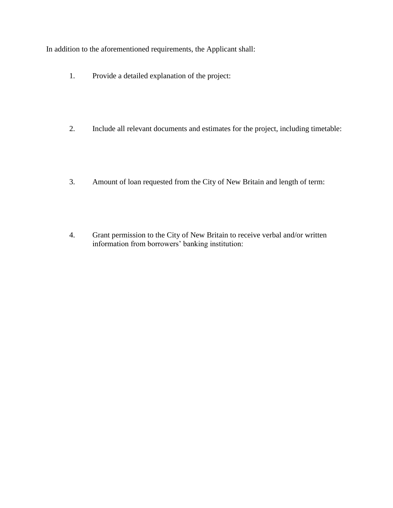In addition to the aforementioned requirements, the Applicant shall:

- 1. Provide a detailed explanation of the project:
- 2. Include all relevant documents and estimates for the project, including timetable:
- 3. Amount of loan requested from the City of New Britain and length of term:
- 4. Grant permission to the City of New Britain to receive verbal and/or written information from borrowers' banking institution: